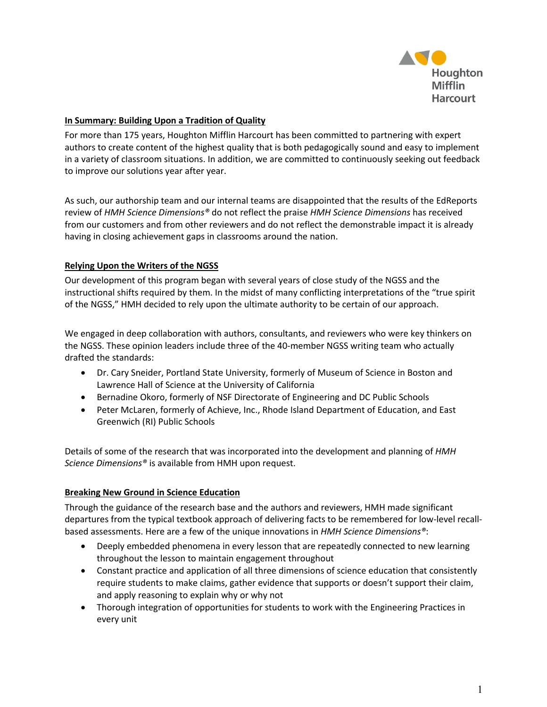

## **In Summary: Building Upon a Tradition of Quality**

For more than 175 years, Houghton Mifflin Harcourt has been committed to partnering with expert authors to create content of the highest quality that is both pedagogically sound and easy to implement in a variety of classroom situations. In addition, we are committed to continuously seeking out feedback to improve our solutions year after year.

As such, our authorship team and our internal teams are disappointed that the results of the EdReports review of *HMH Science Dimensions®* do not reflect the praise *HMH Science Dimensions* has received from our customers and from other reviewers and do not reflect the demonstrable impact it is already having in closing achievement gaps in classrooms around the nation.

### **Relying Upon the Writers of the NGSS**

Our development of this program began with several years of close study of the NGSS and the instructional shifts required by them. In the midst of many conflicting interpretations of the "true spirit of the NGSS," HMH decided to rely upon the ultimate authority to be certain of our approach.

We engaged in deep collaboration with authors, consultants, and reviewers who were key thinkers on the NGSS. These opinion leaders include three of the 40-member NGSS writing team who actually drafted the standards:

- Dr. Cary Sneider, Portland State University, formerly of Museum of Science in Boston and Lawrence Hall of Science at the University of California
- Bernadine Okoro, formerly of NSF Directorate of Engineering and DC Public Schools
- Peter McLaren, formerly of Achieve, Inc., Rhode Island Department of Education, and East Greenwich (RI) Public Schools

Details of some of the research that was incorporated into the development and planning of *HMH Science Dimensions®* is available from HMH upon request.

### **Breaking New Ground in Science Education**

Through the guidance of the research base and the authors and reviewers, HMH made significant departures from the typical textbook approach of delivering facts to be remembered for low-level recallbased assessments. Here are a few of the unique innovations in *HMH Science Dimensions®*:

- Deeply embedded phenomena in every lesson that are repeatedly connected to new learning throughout the lesson to maintain engagement throughout
- Constant practice and application of all three dimensions of science education that consistently require students to make claims, gather evidence that supports or doesn't support their claim, and apply reasoning to explain why or why not
- Thorough integration of opportunities for students to work with the Engineering Practices in every unit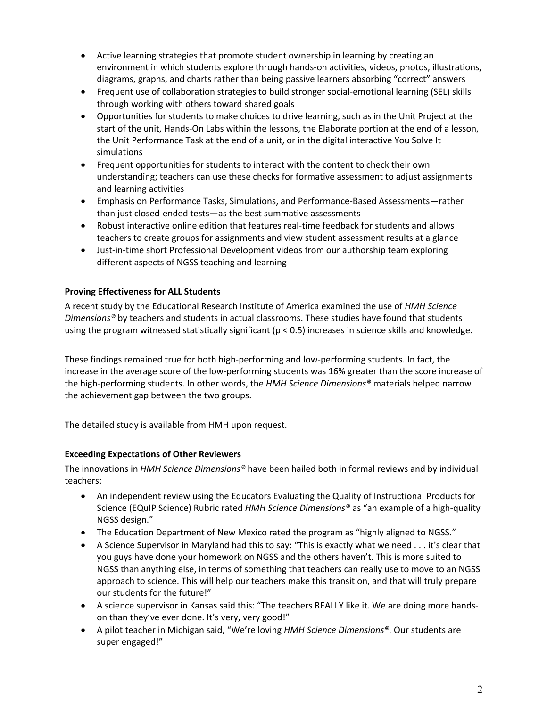- Active learning strategies that promote student ownership in learning by creating an environment in which students explore through hands-on activities, videos, photos, illustrations, diagrams, graphs, and charts rather than being passive learners absorbing "correct" answers
- Frequent use of collaboration strategies to build stronger social-emotional learning (SEL) skills through working with others toward shared goals
- Opportunities for students to make choices to drive learning, such as in the Unit Project at the start of the unit, Hands-On Labs within the lessons, the Elaborate portion at the end of a lesson, the Unit Performance Task at the end of a unit, or in the digital interactive You Solve It simulations
- Frequent opportunities for students to interact with the content to check their own understanding; teachers can use these checks for formative assessment to adjust assignments and learning activities
- Emphasis on Performance Tasks, Simulations, and Performance-Based Assessments—rather than just closed-ended tests—as the best summative assessments
- Robust interactive online edition that features real-time feedback for students and allows teachers to create groups for assignments and view student assessment results at a glance
- Just-in-time short Professional Development videos from our authorship team exploring different aspects of NGSS teaching and learning

# **Proving Effectiveness for ALL Students**

A recent study by the Educational Research Institute of America examined the use of *HMH Science Dimensions®* by teachers and students in actual classrooms. These studies have found that students using the program witnessed statistically significant (p < 0.5) increases in science skills and knowledge.

These findings remained true for both high-performing and low-performing students. In fact, the increase in the average score of the low-performing students was 16% greater than the score increase of the high-performing students. In other words, the *HMH Science Dimensions®* materials helped narrow the achievement gap between the two groups.

The detailed study is available from HMH upon request.

# **Exceeding Expectations of Other Reviewers**

The innovations in *HMH Science Dimensions®* have been hailed both in formal reviews and by individual teachers:

- An independent review using the Educators Evaluating the Quality of Instructional Products for Science (EQuIP Science) Rubric rated *HMH Science Dimensions®* as "an example of a high-quality NGSS design."
- The Education Department of New Mexico rated the program as "highly aligned to NGSS."
- A Science Supervisor in Maryland had this to say: "This is exactly what we need . . . it's clear that you guys have done your homework on NGSS and the others haven't. This is more suited to NGSS than anything else, in terms of something that teachers can really use to move to an NGSS approach to science. This will help our teachers make this transition, and that will truly prepare our students for the future!"
- A science supervisor in Kansas said this: "The teachers REALLY like it. We are doing more handson than they've ever done. It's very, very good!"
- A pilot teacher in Michigan said, "We're loving *HMH Science Dimensions®.* Our students are super engaged!"